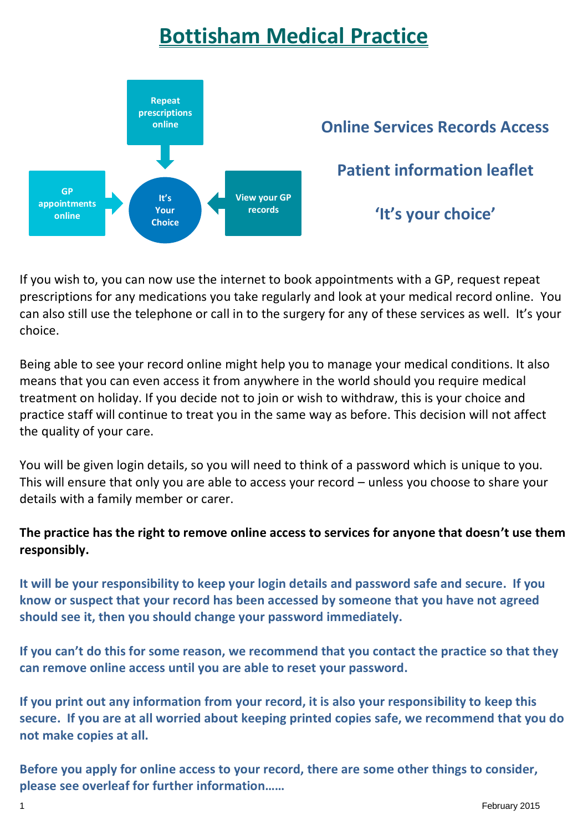## **Bottisham Medical Practice**



If you wish to, you can now use the internet to book appointments with a GP, request repeat prescriptions for any medications you take regularly and look at your medical record online. You can also still use the telephone or call in to the surgery for any of these services as well. It's your choice.

Being able to see your record online might help you to manage your medical conditions. It also means that you can even access it from anywhere in the world should you require medical treatment on holiday. If you decide not to join or wish to withdraw, this is your choice and practice staff will continue to treat you in the same way as before. This decision will not affect the quality of your care.

You will be given login details, so you will need to think of a password which is unique to you. This will ensure that only you are able to access your record – unless you choose to share your details with a family member or carer.

## **The practice has the right to remove online access to services for anyone that doesn't use them responsibly.**

**It will be your responsibility to keep your login details and password safe and secure. If you know or suspect that your record has been accessed by someone that you have not agreed should see it, then you should change your password immediately.**

**If you can't do this for some reason, we recommend that you contact the practice so that they can remove online access until you are able to reset your password.**

**If you print out any information from your record, it is also your responsibility to keep this secure. If you are at all worried about keeping printed copies safe, we recommend that you do not make copies at all.**

**Before you apply for online access to your record, there are some other things to consider, please see overleaf for further information……**